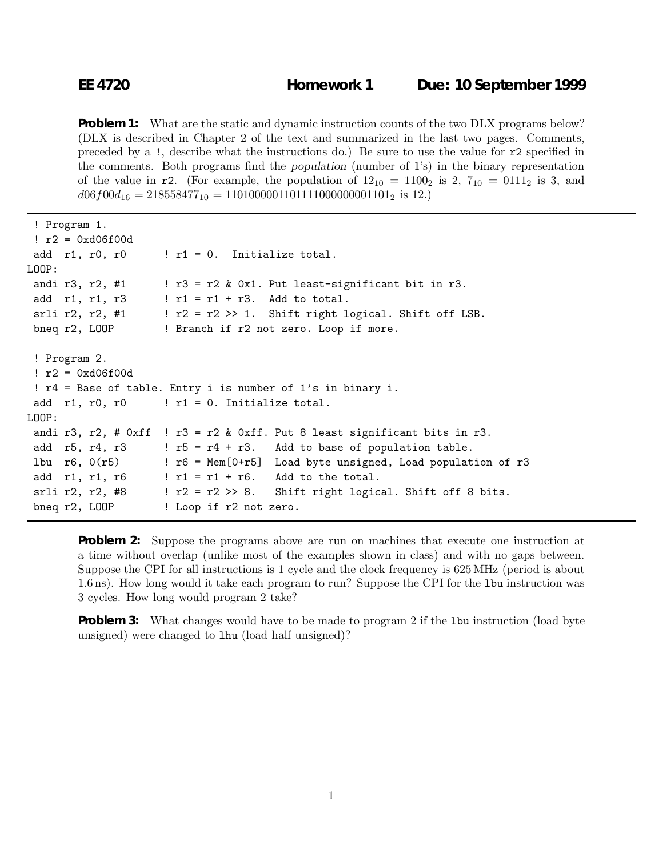**Problem 1:** What are the static and dynamic instruction counts of the two DLX programs below? (DLX is described in Chapter 2 of the text and summarized in the last two pages. Comments, preceded by a !, describe what the instructions do.) Be sure to use the value for r2 specified in the comments. Both programs find the *population* (number of 1's) in the binary representation of the value in r2. (For example, the population of  $12_{10} = 1100_2$  is 2,  $7_{10} = 0111_2$  is 3, and  $d06f00d_{16} = 218558477_{10} = 1101000001101111000000001101_2$  is 12.)

```
! Program 1.
 : r2 = 0x d06f00dadd r1, r0, r0 \qquad ! r1 = 0. Initialize total.
LOOP:
 andi r3, r2, #1 ! r3 = r2 & 0x1. Put least-significant bit in r3.
 add r1, r1, r3 | r1 = r1 + r3. Add to total.
 srli r2, r2, #1 : : r2 = r2 \gg 1. Shift right logical. Shift off LSB.
 bneg r2, LOOP ! Branch if r2 not zero. Loop if more.
 ! Program 2.
 : r2 = 0x d06f00d! r4 = Base of table. Entry i is number of 1's in binary i.
 add r1, r0, r0 ! r1 = 0. Initialize total.
LOOP:
 andi r3, r2, # 0xff ! r3 = r2 & 0xff. Put 8 least significant bits in r3.
 add r5, r4, r3 \cdot ! r5 = r4 + r3. Add to base of population table.
 lbu r6, 0(r5) ! r6 = Mem[0+r5] Load byte unsigned, Load population of r3
 add r1, r1, r6 | r1 = r1 + r6. Add to the total.
 srli r2, r2, #8 ! r2 = r2 >> 8. Shift right logical. Shift off 8 bits.
 bneq r2, LOOP ! Loop if r2 not zero.
```
**Problem 2:** Suppose the programs above are run on machines that execute one instruction at a time without overlap (unlike most of the examples shown in class) and with no gaps between. Suppose the CPI for all instructions is 1 cycle and the clock frequency is 625MHz (period is about 1.6ns). How long would it take each program to run? Suppose the CPI for the lbu instruction was 3 cycles. How long would program 2 take?

**Problem 3:** What changes would have to be made to program 2 if the 1bu instruction (load byte unsigned) were changed to lhu (load half unsigned)?